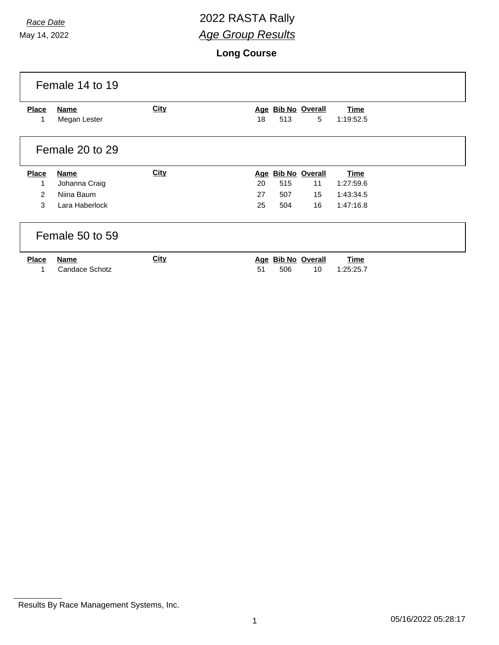# *Race Date* 2022 RASTA Rally *Age Group Results*

**Long Course**

|                 | Female 14 to 19 |             |            |     |                       |             |  |
|-----------------|-----------------|-------------|------------|-----|-----------------------|-------------|--|
| <b>Place</b>    | Name            | <b>City</b> |            |     | Age Bib No Overall    | <b>Time</b> |  |
| 1               | Megan Lester    |             | 18         | 513 | 5                     | 1:19:52.5   |  |
| Female 20 to 29 |                 |             |            |     |                       |             |  |
| Place           | <b>Name</b>     | <b>City</b> | <u>Age</u> |     | <b>Bib No Overall</b> | <b>Time</b> |  |
| 1               | Johanna Craig   |             | 20         | 515 | 11                    | 1:27:59.6   |  |
| 2               | Niina Baum      |             | 27         | 507 | 15                    | 1:43:34.5   |  |
| 3               | Lara Haberlock  |             | 25         | 504 | 16                    | 1:47:16.8   |  |
| Female 50 to 59 |                 |             |            |     |                       |             |  |
| <b>Place</b>    | <b>Name</b>     | City        |            |     | Age Bib No Overall    | <b>Time</b> |  |
| 1               | Candace Schotz  |             | 51         | 506 | 10                    | 1:25:25.7   |  |

Results By Race Management Systems, Inc.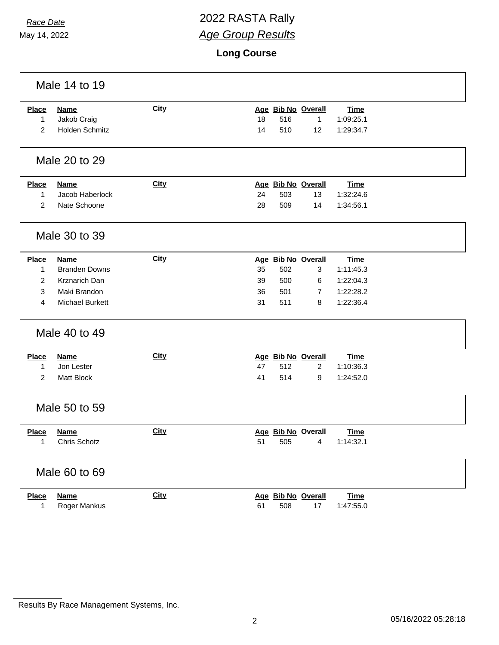$\sqrt{ }$ 

# *Race Date* 2022 RASTA Rally *Age Group Results*

**Long Course**

|                   | Male 14 to 19               |             |                                                                   |  |  |  |  |  |
|-------------------|-----------------------------|-------------|-------------------------------------------------------------------|--|--|--|--|--|
| <b>Place</b>      | <b>Name</b>                 | <b>City</b> | Age Bib No Overall<br><b>Time</b>                                 |  |  |  |  |  |
| 1                 | Jakob Craig                 |             | 516<br>18<br>1<br>1:09:25.1                                       |  |  |  |  |  |
| $\overline{2}$    | Holden Schmitz              |             | 510<br>14<br>12<br>1:29:34.7                                      |  |  |  |  |  |
|                   | Male 20 to 29               |             |                                                                   |  |  |  |  |  |
| <b>Place</b>      | <b>Name</b>                 | <b>City</b> | Age Bib No Overall<br><b>Time</b>                                 |  |  |  |  |  |
| 1                 | Jacob Haberlock             |             | 24<br>503<br>13<br>1:32:24.6                                      |  |  |  |  |  |
| $\overline{2}$    | Nate Schoone                |             | 28<br>509<br>14<br>1:34:56.1                                      |  |  |  |  |  |
|                   | Male 30 to 39               |             |                                                                   |  |  |  |  |  |
| <b>Place</b>      | Name                        | <b>City</b> | Age Bib No Overall<br><b>Time</b>                                 |  |  |  |  |  |
| 1                 | <b>Branden Downs</b>        |             | 35<br>502<br>3<br>1:11:45.3                                       |  |  |  |  |  |
| 2                 | Krznarich Dan               |             | 39<br>500<br>1:22:04.3<br>6                                       |  |  |  |  |  |
| 3                 | Maki Brandon                |             | 36<br>501<br>1:22:28.2<br>$\overline{7}$                          |  |  |  |  |  |
| 4                 | <b>Michael Burkett</b>      |             | 31<br>511<br>1:22:36.4<br>8                                       |  |  |  |  |  |
|                   | Male 40 to 49               |             |                                                                   |  |  |  |  |  |
| <b>Place</b>      | <b>Name</b>                 | <b>City</b> | Age Bib No Overall<br><b>Time</b>                                 |  |  |  |  |  |
| 1                 | Jon Lester                  |             | 47<br>512<br>1:10:36.3<br>$\overline{2}$                          |  |  |  |  |  |
| $\overline{2}$    | Matt Block                  |             | 41<br>514<br>1:24:52.0<br>9                                       |  |  |  |  |  |
| Male 50 to 59     |                             |             |                                                                   |  |  |  |  |  |
| <b>Place</b>      | <b>Name</b>                 | <b>City</b> | Age Bib No Overall<br><b>Time</b>                                 |  |  |  |  |  |
| 1                 | Chris Schotz                |             | 51<br>505<br>4<br>1:14:32.1                                       |  |  |  |  |  |
|                   | Male 60 to 69               |             |                                                                   |  |  |  |  |  |
| <b>Place</b><br>1 | <b>Name</b><br>Roger Mankus | City        | Age Bib No Overall<br><b>Time</b><br>61<br>508<br>17<br>1:47:55.0 |  |  |  |  |  |
|                   |                             |             |                                                                   |  |  |  |  |  |

Results By Race Management Systems, Inc.

٦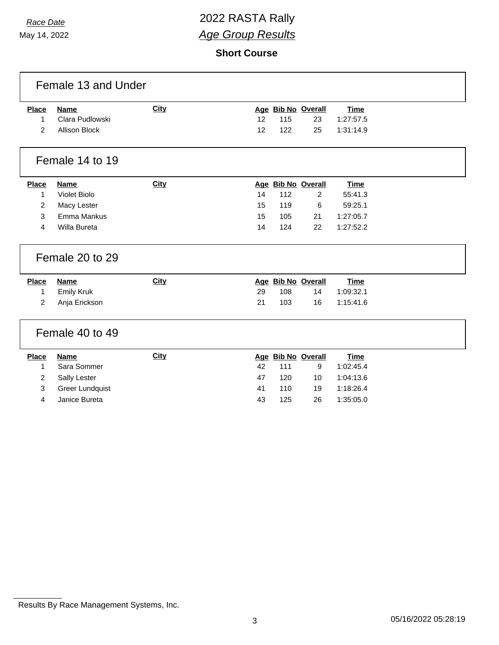# *Race Date* 2022 RASTA Rally *Age Group Results*

**Short Course**

| Female 13 and Under |                        |             |    |     |                    |             |  |  |
|---------------------|------------------------|-------------|----|-----|--------------------|-------------|--|--|
| <b>Place</b>        | <b>Name</b>            | City        |    |     | Age Bib No Overall | <b>Time</b> |  |  |
| 1                   | Clara Pudlowski        |             | 12 | 115 | 23                 | 1:27:57.5   |  |  |
| $\overline{2}$      | <b>Allison Block</b>   |             | 12 | 122 | 25                 | 1:31:14.9   |  |  |
| Female 14 to 19     |                        |             |    |     |                    |             |  |  |
| <b>Place</b>        | <b>Name</b>            | <b>City</b> |    |     | Age Bib No Overall | <b>Time</b> |  |  |
| $\mathbf{1}$        | <b>Violet Biolo</b>    |             | 14 | 112 | $\overline{2}$     | 55:41.3     |  |  |
| $\overline{2}$      | Macy Lester            |             | 15 | 119 | 6                  | 59:25.1     |  |  |
| 3                   | Emma Mankus            |             | 15 | 105 | 21                 | 1:27:05.7   |  |  |
| 4                   | Willa Bureta           |             | 14 | 124 | 22                 | 1:27:52.2   |  |  |
| Female 20 to 29     |                        |             |    |     |                    |             |  |  |
| Place               | <b>Name</b>            | City        |    |     | Age Bib No Overall | <b>Time</b> |  |  |
| $\mathbf 1$         | <b>Emily Kruk</b>      |             | 29 | 108 | 14                 | 1:09:32.1   |  |  |
| 2                   | Anja Erickson          |             | 21 | 103 | 16                 | 1:15:41.6   |  |  |
| Female 40 to 49     |                        |             |    |     |                    |             |  |  |
| Place               | <b>Name</b>            | <b>City</b> |    |     | Age Bib No Overall | <b>Time</b> |  |  |
| $\mathbf{1}$        | Sara Sommer            |             | 42 | 111 | 9                  | 1:02:45.4   |  |  |
| $\overline{2}$      | Sally Lester           |             | 47 | 120 | 10                 | 1:04:13.6   |  |  |
| 3                   | <b>Greer Lundquist</b> |             | 41 | 110 | 19                 | 1:18:26.4   |  |  |
| 4                   | Janice Bureta          |             | 43 | 125 | 26                 | 1:35:05.0   |  |  |
|                     |                        |             |    |     |                    |             |  |  |

Results By Race Management Systems, Inc.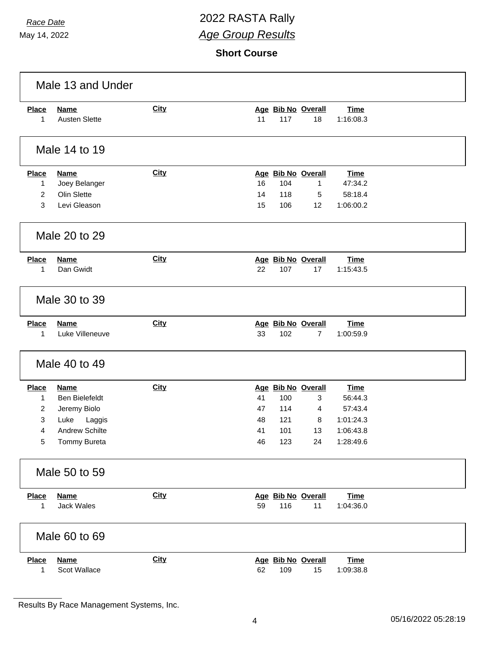# *Race Date* 2022 RASTA Rally *Age Group Results*

**Short Course**

| Male 13 and Under                                |                                                                                                                 |             |                            |                                                       |                                    |                                                                          |  |
|--------------------------------------------------|-----------------------------------------------------------------------------------------------------------------|-------------|----------------------------|-------------------------------------------------------|------------------------------------|--------------------------------------------------------------------------|--|
| <b>Place</b><br>$\mathbf{1}$                     | <b>Name</b><br><b>Austen Slette</b>                                                                             | <b>City</b> | 11                         | 117                                                   | Age Bib No Overall<br>18           | <b>Time</b><br>1:16:08.3                                                 |  |
| Male 14 to 19                                    |                                                                                                                 |             |                            |                                                       |                                    |                                                                          |  |
| <b>Place</b><br>1<br>2<br>3                      | <b>Name</b><br>Joey Belanger<br>Olin Slette<br>Levi Gleason                                                     | City        | 16<br>14<br>15             | 104<br>118<br>106                                     | Age Bib No Overall<br>1<br>5<br>12 | <b>Time</b><br>47:34.2<br>58:18.4<br>1:06:00.2                           |  |
| Male 20 to 29                                    |                                                                                                                 |             |                            |                                                       |                                    |                                                                          |  |
| <b>Place</b><br>1                                | <b>Name</b><br>Dan Gwidt                                                                                        | <b>City</b> | 22                         | 107                                                   | Age Bib No Overall<br>17           | <b>Time</b><br>1:15:43.5                                                 |  |
| Male 30 to 39                                    |                                                                                                                 |             |                            |                                                       |                                    |                                                                          |  |
| <b>Place</b><br>1                                | <b>Name</b><br>Luke Villeneuve                                                                                  | City        | 33                         | Age Bib No Overall<br>102                             | $\overline{7}$                     | <b>Time</b><br>1:00:59.9                                                 |  |
| Male 40 to 49                                    |                                                                                                                 |             |                            |                                                       |                                    |                                                                          |  |
| <b>Place</b><br>$\mathbf{1}$<br>2<br>3<br>4<br>5 | <b>Name</b><br><b>Ben Bielefeldt</b><br>Jeremy Biolo<br>Luke<br>Laggis<br><b>Andrew Schilte</b><br>Tommy Bureta | <b>City</b> | 41<br>47<br>48<br>41<br>46 | Age Bib No Overall<br>100<br>114<br>121<br>101<br>123 | $\mathbf{3}$<br>4<br>8<br>13<br>24 | <b>Time</b><br>56:44.3<br>57:43.4<br>1:01:24.3<br>1:06:43.8<br>1:28:49.6 |  |
| Male 50 to 59                                    |                                                                                                                 |             |                            |                                                       |                                    |                                                                          |  |
| <b>Place</b><br>1                                | <b>Name</b><br>Jack Wales                                                                                       | <b>City</b> | 59                         | 116                                                   | Age Bib No Overall<br>11           | <b>Time</b><br>1:04:36.0                                                 |  |
| Male 60 to 69                                    |                                                                                                                 |             |                            |                                                       |                                    |                                                                          |  |
| <b>Place</b><br>1                                | <b>Name</b><br>Scot Wallace                                                                                     | <b>City</b> | 62                         | 109                                                   | Age Bib No Overall<br>15           | <b>Time</b><br>1:09:38.8                                                 |  |

Results By Race Management Systems, Inc.